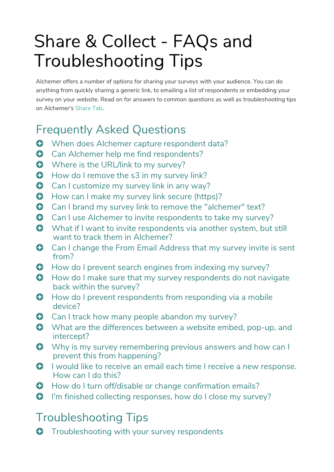## Share & Collect - FAQs and Troubleshooting Tips

Alchemer offers a number of options for sharing your surveys with your audience. You can do anything from quickly sharing a generic link, to emailing a list of respondents or embedding your survey on your website. Read on for answers to common questions as well as troubleshooting tips on Alchemer's Share Tab.

## Frequently Asked Questions

- **O** When does Alchemer capture respondent data?
- **O** Can Alchemer help me find respondents?
- **O** Where is the URL/link to my survey?
- **O** How do I remove the s3 in my survey link?
- **C** Can I customize my survey link in any way?
- **O** How can I make my survey link secure (https)?
- **C** Can I brand my survey link to remove the "alchemer" text?
- **Can I use Alchemer to invite respondents to take my survey?**
- **O** What if I want to invite respondents via another system, but still want to track them in Alchemer?
- **C** Can I change the From Email Address that my survey invite is sent from?
- **O** How do I prevent search engines from indexing my survey?
- **O** How do I make sure that my survey respondents do not navigate back within the survey?
- **O** How do I prevent respondents from responding via a mobile device?
- **O** Can I track how many people abandon my survey?
- **O** What are the differences between a website embed, pop-up, and intercept?
- **O** Why is my survey remembering previous answers and how can I prevent this from happening?
- **O** I would like to receive an email each time I receive a new response. How can I do this?
- **O** How do I turn off/disable or change confirmation emails?
- **O** I'm finished collecting responses, how do I close my survey?

## Troubleshooting Tips

**O** Troubleshooting with your survey respondents